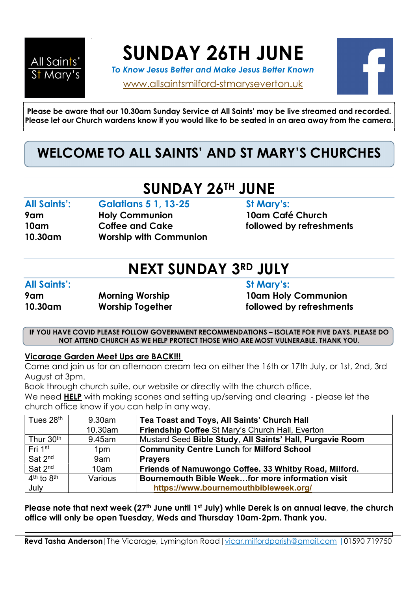

SUNDAY 26TH JUNE

To Know Jesus Better and Make Jesus Better Known

www.allsaintsmilford-stmaryseverton.uk



Please be aware that our 10.30am Sunday Service at All Saints' may be live streamed and recorded. Please let our Church wardens know if you would like to be seated in an area away from the camera.

## WELCOME TO ALL SAINTS' AND ST MARY'S CHURCHES

# SUNDAY 26TH JUNE

### All Saints': Galatians 5 1, 13-25 St Mary's:

9am Holy Communion 10am Café Church 10am Coffee and Cake followed by refreshments 10.30am Worship with Communion

# NEXT SUNDAY 3RD JULY

### All Saints': St Mary's:

#### 9am Morning Worship 10am Holy Communion 10.30am Worship Together **followed by refreshments**

IF YOU HAVE COVID PLEASE FOLLOW GOVERNMENT RECOMMENDATIONS – ISOLATE FOR FIVE DAYS. PLEASE DO NOT ATTEND CHURCH AS WE HELP PROTECT THOSE WHO ARE MOST VULNERABLE. THANK YOU.

### Vicarage Garden Meet Ups are BACK!!!

Come and join us for an afternoon cream tea on either the 16th or 17th July, or 1st, 2nd, 3rd August at 3pm.

Book through church suite, our website or directly with the church office.

We need **HELP** with making scones and setting up/serving and clearing - please let the church office know if you can help in any way.

| Tues 28 <sup>th</sup> | 9.30am     | Tea Toast and Toys, All Saints' Church Hall               |  |
|-----------------------|------------|-----------------------------------------------------------|--|
|                       | $10.30$ am | Friendship Coffee St Mary's Church Hall, Everton          |  |
| Thur 30 <sup>th</sup> | 9.45am     | Mustard Seed Bible Study, All Saints' Hall, Purgavie Room |  |
| Fri 1 <sup>st</sup>   | 1pm        | <b>Community Centre Lunch for Milford School</b>          |  |
| Sat 2 <sup>nd</sup>   | 9am        | <b>Pravers</b>                                            |  |
| Sat 2 <sup>nd</sup>   | 10am       | Friends of Namuwongo Coffee. 33 Whitby Road, Milford.     |  |
| $4th$ to $8th$        | Various    | Bournemouth Bible Weekfor more information visit          |  |
| July                  |            | https://www.bournemouthbibleweek.org/                     |  |

Please note that next week (27<sup>th</sup> June until 1<sup>st</sup> July) while Derek is on annual leave, the church office will only be open Tuesday, Weds and Thursday 10am-2pm. Thank you.